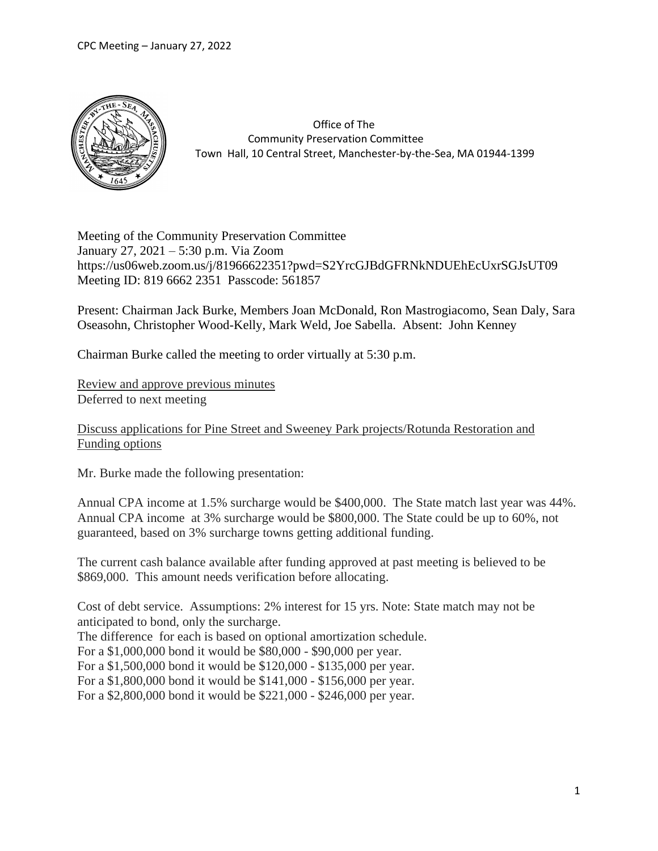

 Office of The Community Preservation Committee Town Hall, 10 Central Street, Manchester-by-the-Sea, MA 01944-1399

Meeting of the Community Preservation Committee January 27, 2021 – 5:30 p.m. Via Zoom https://us06web.zoom.us/j/81966622351?pwd=S2YrcGJBdGFRNkNDUEhEcUxrSGJsUT09 Meeting ID: 819 6662 2351 Passcode: 561857

Present: Chairman Jack Burke, Members Joan McDonald, Ron Mastrogiacomo, Sean Daly, Sara Oseasohn, Christopher Wood-Kelly, Mark Weld, Joe Sabella. Absent: John Kenney

Chairman Burke called the meeting to order virtually at 5:30 p.m.

Review and approve previous minutes Deferred to next meeting

Discuss applications for Pine Street and Sweeney Park projects/Rotunda Restoration and Funding options

Mr. Burke made the following presentation:

Annual CPA income at 1.5% surcharge would be \$400,000. The State match last year was 44%. Annual CPA income at 3% surcharge would be \$800,000. The State could be up to 60%, not guaranteed, based on 3% surcharge towns getting additional funding.

The current cash balance available after funding approved at past meeting is believed to be \$869,000. This amount needs verification before allocating.

Cost of debt service. Assumptions: 2% interest for 15 yrs. Note: State match may not be anticipated to bond, only the surcharge.

The difference for each is based on optional amortization schedule.

For a \$1,000,000 bond it would be \$80,000 - \$90,000 per year.

For a \$1,500,000 bond it would be \$120,000 - \$135,000 per year.

For a \$1,800,000 bond it would be \$141,000 - \$156,000 per year.

For a \$2,800,000 bond it would be \$221,000 - \$246,000 per year.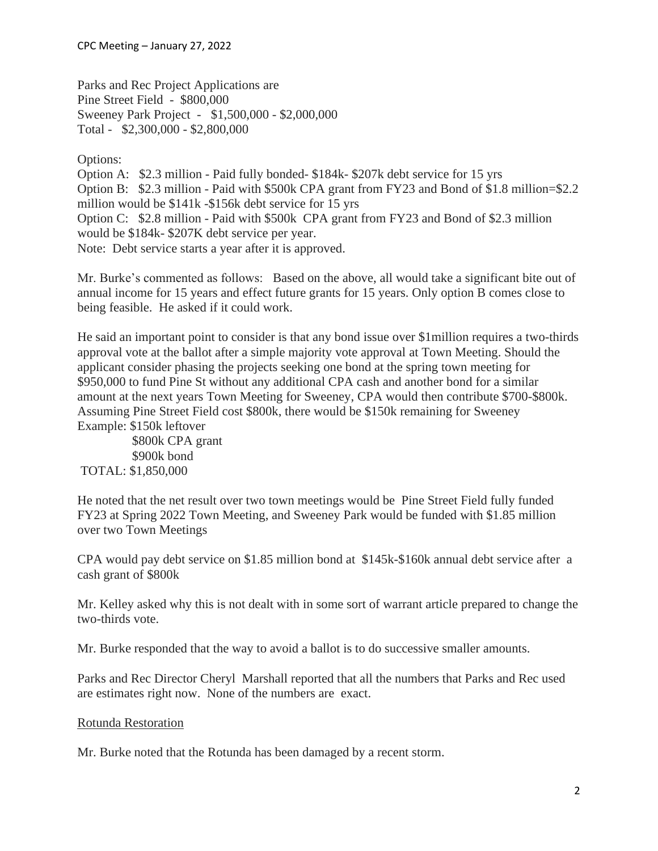Parks and Rec Project Applications are Pine Street Field - \$800,000 Sweeney Park Project - \$1,500,000 - \$2,000,000 Total - \$2,300,000 - \$2,800,000

## Options:

Option A: \$2.3 million - Paid fully bonded- \$184k- \$207k debt service for 15 yrs Option B: \$2.3 million - Paid with \$500k CPA grant from FY23 and Bond of \$1.8 million=\$2.2 million would be \$141k -\$156k debt service for 15 yrs Option C: \$2.8 million - Paid with \$500k CPA grant from FY23 and Bond of \$2.3 million would be \$184k- \$207K debt service per year. Note: Debt service starts a year after it is approved.

Mr. Burke's commented as follows: Based on the above, all would take a significant bite out of annual income for 15 years and effect future grants for 15 years. Only option B comes close to being feasible. He asked if it could work.

He said an important point to consider is that any bond issue over \$1million requires a two-thirds approval vote at the ballot after a simple majority vote approval at Town Meeting. Should the applicant consider phasing the projects seeking one bond at the spring town meeting for \$950,000 to fund Pine St without any additional CPA cash and another bond for a similar amount at the next years Town Meeting for Sweeney, CPA would then contribute \$700-\$800k. Assuming Pine Street Field cost \$800k, there would be \$150k remaining for Sweeney Example: \$150k leftover

\$800k CPA grant \$900k bond TOTAL: \$1,850,000

He noted that the net result over two town meetings would be Pine Street Field fully funded FY23 at Spring 2022 Town Meeting, and Sweeney Park would be funded with \$1.85 million over two Town Meetings

CPA would pay debt service on \$1.85 million bond at \$145k-\$160k annual debt service after a cash grant of \$800k

Mr. Kelley asked why this is not dealt with in some sort of warrant article prepared to change the two-thirds vote.

Mr. Burke responded that the way to avoid a ballot is to do successive smaller amounts.

Parks and Rec Director Cheryl Marshall reported that all the numbers that Parks and Rec used are estimates right now. None of the numbers are exact.

## Rotunda Restoration

Mr. Burke noted that the Rotunda has been damaged by a recent storm.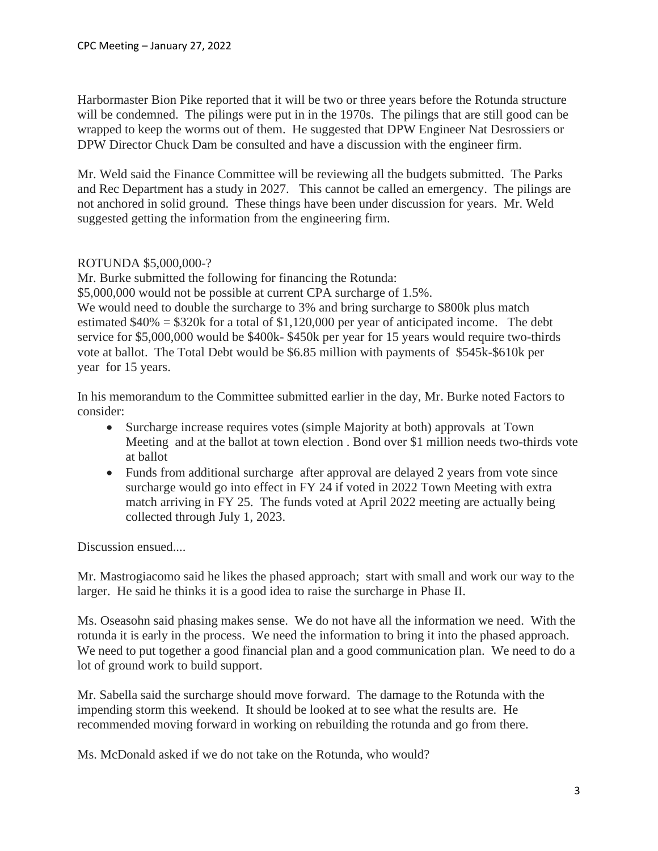Harbormaster Bion Pike reported that it will be two or three years before the Rotunda structure will be condemned. The pilings were put in in the 1970s. The pilings that are still good can be wrapped to keep the worms out of them. He suggested that DPW Engineer Nat Desrossiers or DPW Director Chuck Dam be consulted and have a discussion with the engineer firm.

Mr. Weld said the Finance Committee will be reviewing all the budgets submitted. The Parks and Rec Department has a study in 2027. This cannot be called an emergency. The pilings are not anchored in solid ground. These things have been under discussion for years. Mr. Weld suggested getting the information from the engineering firm.

## ROTUNDA \$5,000,000-?

Mr. Burke submitted the following for financing the Rotunda:

\$5,000,000 would not be possible at current CPA surcharge of 1.5%.

We would need to double the surcharge to 3% and bring surcharge to \$800k plus match estimated \$40% = \$320k for a total of \$1,120,000 per year of anticipated income. The debt service for \$5,000,000 would be \$400k- \$450k per year for 15 years would require two-thirds vote at ballot. The Total Debt would be \$6.85 million with payments of \$545k-\$610k per year for 15 years.

In his memorandum to the Committee submitted earlier in the day, Mr. Burke noted Factors to consider:

- Surcharge increase requires votes (simple Majority at both) approvals at Town Meeting and at the ballot at town election . Bond over \$1 million needs two-thirds vote at ballot
- Funds from additional surcharge after approval are delayed 2 years from vote since surcharge would go into effect in FY 24 if voted in 2022 Town Meeting with extra match arriving in FY 25. The funds voted at April 2022 meeting are actually being collected through July 1, 2023.

Discussion ensued....

Mr. Mastrogiacomo said he likes the phased approach; start with small and work our way to the larger. He said he thinks it is a good idea to raise the surcharge in Phase II.

Ms. Oseasohn said phasing makes sense. We do not have all the information we need. With the rotunda it is early in the process. We need the information to bring it into the phased approach. We need to put together a good financial plan and a good communication plan. We need to do a lot of ground work to build support.

Mr. Sabella said the surcharge should move forward. The damage to the Rotunda with the impending storm this weekend. It should be looked at to see what the results are. He recommended moving forward in working on rebuilding the rotunda and go from there.

Ms. McDonald asked if we do not take on the Rotunda, who would?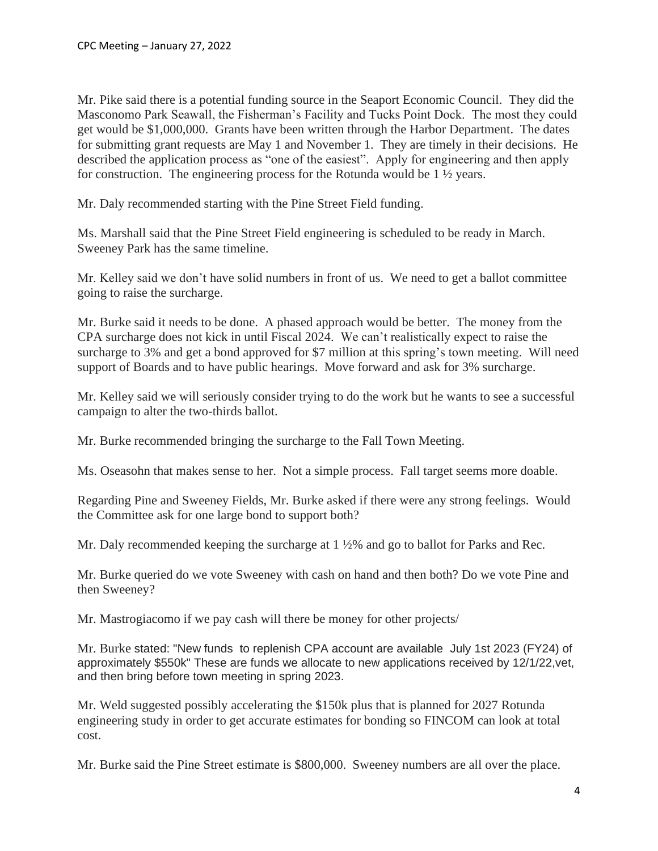Mr. Pike said there is a potential funding source in the Seaport Economic Council. They did the Masconomo Park Seawall, the Fisherman's Facility and Tucks Point Dock. The most they could get would be \$1,000,000. Grants have been written through the Harbor Department. The dates for submitting grant requests are May 1 and November 1. They are timely in their decisions. He described the application process as "one of the easiest". Apply for engineering and then apply for construction. The engineering process for the Rotunda would be 1 ½ years.

Mr. Daly recommended starting with the Pine Street Field funding.

Ms. Marshall said that the Pine Street Field engineering is scheduled to be ready in March. Sweeney Park has the same timeline.

Mr. Kelley said we don't have solid numbers in front of us. We need to get a ballot committee going to raise the surcharge.

Mr. Burke said it needs to be done. A phased approach would be better. The money from the CPA surcharge does not kick in until Fiscal 2024. We can't realistically expect to raise the surcharge to 3% and get a bond approved for \$7 million at this spring's town meeting. Will need support of Boards and to have public hearings. Move forward and ask for 3% surcharge.

Mr. Kelley said we will seriously consider trying to do the work but he wants to see a successful campaign to alter the two-thirds ballot.

Mr. Burke recommended bringing the surcharge to the Fall Town Meeting.

Ms. Oseasohn that makes sense to her. Not a simple process. Fall target seems more doable.

Regarding Pine and Sweeney Fields, Mr. Burke asked if there were any strong feelings. Would the Committee ask for one large bond to support both?

Mr. Daly recommended keeping the surcharge at 1 ½% and go to ballot for Parks and Rec.

Mr. Burke queried do we vote Sweeney with cash on hand and then both? Do we vote Pine and then Sweeney?

Mr. Mastrogiacomo if we pay cash will there be money for other projects/

Mr. Burke stated: "New funds to replenish CPA account are available July 1st 2023 (FY24) of approximately \$550k" These are funds we allocate to new applications received by 12/1/22,vet, and then bring before town meeting in spring 2023.

Mr. Weld suggested possibly accelerating the \$150k plus that is planned for 2027 Rotunda engineering study in order to get accurate estimates for bonding so FINCOM can look at total cost.

Mr. Burke said the Pine Street estimate is \$800,000. Sweeney numbers are all over the place.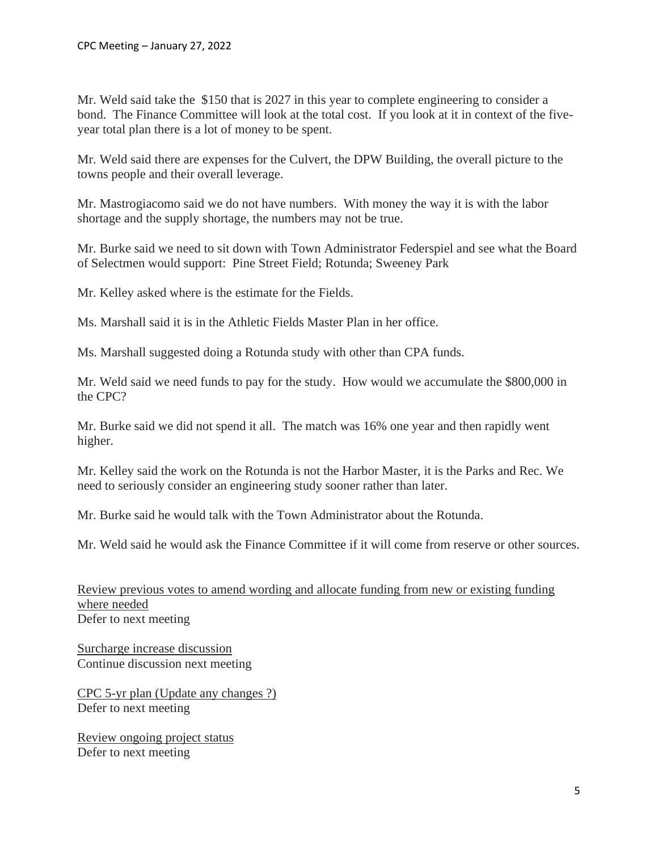Mr. Weld said take the \$150 that is 2027 in this year to complete engineering to consider a bond. The Finance Committee will look at the total cost. If you look at it in context of the fiveyear total plan there is a lot of money to be spent.

Mr. Weld said there are expenses for the Culvert, the DPW Building, the overall picture to the towns people and their overall leverage.

Mr. Mastrogiacomo said we do not have numbers. With money the way it is with the labor shortage and the supply shortage, the numbers may not be true.

Mr. Burke said we need to sit down with Town Administrator Federspiel and see what the Board of Selectmen would support: Pine Street Field; Rotunda; Sweeney Park

Mr. Kelley asked where is the estimate for the Fields.

Ms. Marshall said it is in the Athletic Fields Master Plan in her office.

Ms. Marshall suggested doing a Rotunda study with other than CPA funds.

Mr. Weld said we need funds to pay for the study. How would we accumulate the \$800,000 in the CPC?

Mr. Burke said we did not spend it all. The match was 16% one year and then rapidly went higher.

Mr. Kelley said the work on the Rotunda is not the Harbor Master, it is the Parks and Rec. We need to seriously consider an engineering study sooner rather than later.

Mr. Burke said he would talk with the Town Administrator about the Rotunda.

Mr. Weld said he would ask the Finance Committee if it will come from reserve or other sources.

Review previous votes to amend wording and allocate funding from new or existing funding where needed Defer to next meeting

Surcharge increase discussion Continue discussion next meeting

CPC 5-yr plan (Update any changes ?) Defer to next meeting

Review ongoing project status Defer to next meeting